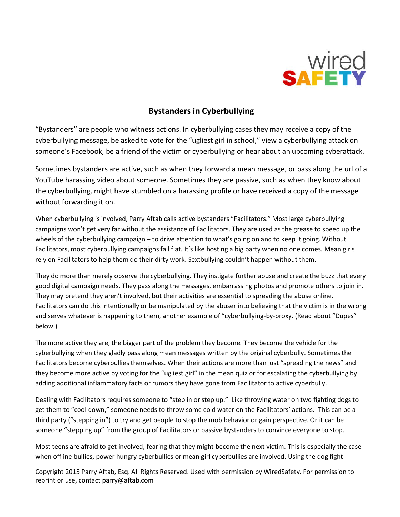

## **Bystanders in Cyberbullying**

"Bystanders" are people who witness actions. In cyberbullying cases they may receive a copy of the cyberbullying message, be asked to vote for the "ugliest girl in school," view a cyberbullying attack on someone's Facebook, be a friend of the victim or cyberbullying or hear about an upcoming cyberattack.

Sometimes bystanders are active, such as when they forward a mean message, or pass along the url of a YouTube harassing video about someone. Sometimes they are passive, such as when they know about the cyberbullying, might have stumbled on a harassing profile or have received a copy of the message without forwarding it on.

When cyberbullying is involved, Parry Aftab calls active bystanders "Facilitators." Most large cyberbullying campaigns won't get very far without the assistance of Facilitators. They are used as the grease to speed up the wheels of the cyberbullying campaign – to drive attention to what's going on and to keep it going. Without Facilitators, most cyberbullying campaigns fall flat. It's like hosting a big party when no one comes. Mean girls rely on Facilitators to help them do their dirty work. Sextbullying couldn't happen without them.

They do more than merely observe the cyberbullying. They instigate further abuse and create the buzz that every good digital campaign needs. They pass along the messages, embarrassing photos and promote others to join in. They may pretend they aren't involved, but their activities are essential to spreading the abuse online. Facilitators can do this intentionally or be manipulated by the abuser into believing that the victim is in the wrong and serves whatever is happening to them, another example of "cyberbullying-by-proxy. (Read about "Dupes" below.)

The more active they are, the bigger part of the problem they become. They become the vehicle for the cyberbullying when they gladly pass along mean messages written by the original cyberbully. Sometimes the Facilitators become cyberbullies themselves. When their actions are more than just "spreading the news" and they become more active by voting for the "ugliest girl" in the mean quiz or for escalating the cyberbullying by adding additional inflammatory facts or rumors they have gone from Facilitator to active cyberbully.

Dealing with Facilitators requires someone to "step in or step up." Like throwing water on two fighting dogs to get them to "cool down," someone needs to throw some cold water on the Facilitators' actions. This can be a third party ("stepping in") to try and get people to stop the mob behavior or gain perspective. Or it can be someone "stepping up" from the group of Facilitators or passive bystanders to convince everyone to stop.

Most teens are afraid to get involved, fearing that they might become the next victim. This is especially the case when offline bullies, power hungry cyberbullies or mean girl cyberbullies are involved. Using the dog fight

Copyright 2015 Parry Aftab, Esq. All Rights Reserved. Used with permission by WiredSafety. For permission to reprint or use, contact parry@aftab.com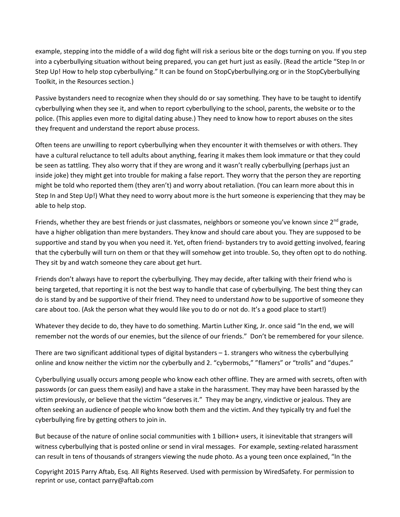example, stepping into the middle of a wild dog fight will risk a serious bite or the dogs turning on you. If you step into a cyberbullying situation without being prepared, you can get hurt just as easily. (Read the article "Step In or Step Up! How to help stop cyberbullying." It can be found on StopCyberbullying.org or in the StopCyberbullying Toolkit, in the Resources section.)

Passive bystanders need to recognize when they should do or say something. They have to be taught to identify cyberbullying when they see it, and when to report cyberbullying to the school, parents, the website or to the police. (This applies even more to digital dating abuse.) They need to know how to report abuses on the sites they frequent and understand the report abuse process.

Often teens are unwilling to report cyberbullying when they encounter it with themselves or with others. They have a cultural reluctance to tell adults about anything, fearing it makes them look immature or that they could be seen as tattling. They also worry that if they are wrong and it wasn't really cyberbullying (perhaps just an inside joke) they might get into trouble for making a false report. They worry that the person they are reporting might be told who reported them (they aren't) and worry about retaliation. (You can learn more about this in Step In and Step Up!) What they need to worry about more is the hurt someone is experiencing that they may be able to help stop.

Friends, whether they are best friends or just classmates, neighbors or someone you've known since 2<sup>nd</sup> grade, have a higher obligation than mere bystanders. They know and should care about you. They are supposed to be supportive and stand by you when you need it. Yet, often friend- bystanders try to avoid getting involved, fearing that the cyberbully will turn on them or that they will somehow get into trouble. So, they often opt to do nothing. They sit by and watch someone they care about get hurt.

Friends don't always have to report the cyberbullying. They may decide, after talking with their friend who is being targeted, that reporting it is not the best way to handle that case of cyberbullying. The best thing they can do is stand by and be supportive of their friend. They need to understand *how* to be supportive of someone they care about too. (Ask the person what they would like you to do or not do. It's a good place to start!)

Whatever they decide to do, they have to do something. Martin Luther King, Jr. once said "In the end, we will remember not the words of our enemies, but the silence of our friends." Don't be remembered for your silence.

There are two significant additional types of digital bystanders – 1. strangers who witness the cyberbullying online and know neither the victim nor the cyberbully and 2. "cybermobs," "flamers" or "trolls" and "dupes."

Cyberbullying usually occurs among people who know each other offline. They are armed with secrets, often with passwords (or can guess them easily) and have a stake in the harassment. They may have been harassed by the victim previously, or believe that the victim "deserves it." They may be angry, vindictive or jealous. They are often seeking an audience of people who know both them and the victim. And they typically try and fuel the cyberbullying fire by getting others to join in.

But because of the nature of online social communities with 1 billion+ users, it isinevitable that strangers will witness cyberbullying that is posted online or send in viral messages. For example, sexting-related harassment can result in tens of thousands of strangers viewing the nude photo. As a young teen once explained, "In the

Copyright 2015 Parry Aftab, Esq. All Rights Reserved. Used with permission by WiredSafety. For permission to reprint or use, contact parry@aftab.com